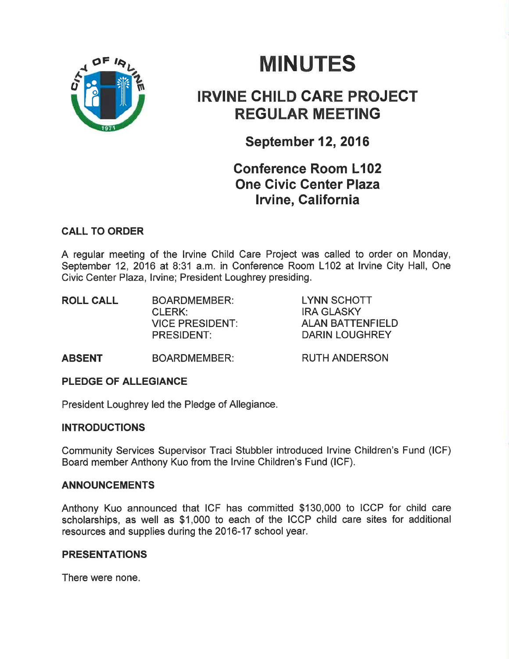

# **MINUTES**

# IRVINE CHILD GARE PROJECT REGULAR MEETING

September 12,2016

# Conference Room L102 One Civic Genter Plaza Iwine, California

# CALL TO ORDER

A regular meeting of the lrvine Child Care Project was called to order on Monday, September 12, 2016 at 8:31 a.m. in Conference Room L102 at lrvine City Hall, One Civic Center Plaza, lrvine; President Loughrey presiding,

| <b>ROLL CALL</b> | <b>BOARDMEMBER:</b>    | LYNN SCHOTT             |
|------------------|------------------------|-------------------------|
|                  | CLERK:                 | IRA GLASKY              |
|                  | <b>VICE PRESIDENT:</b> | <b>ALAN BATTENFIELD</b> |
|                  | PRESIDENT:             | DARIN LOUGHREY          |
|                  |                        |                         |

ABSENT BOARDMEMBER:

RUTH ANDERSON

# PLEDGE OF ALLEGIANCE

President Loughrey led the Pledge of Allegiance.

# **INTRODUCTIONS**

Community Services Supervisor Traci Stubbler introduced lrvine Children's Fund (lCF) Board member Anthony Kuo from the lrvine Children's Fund (lCF).

# ANNOUNCEMENTS

Anthony Kuo announced that ICF has committed \$130,000 to ICCP for child care scholarships, as well as \$1,000 to each of the ICCP child care sites for additional resources and supplies during the 2016-17 school year.

# PRESENTATIONS

There were none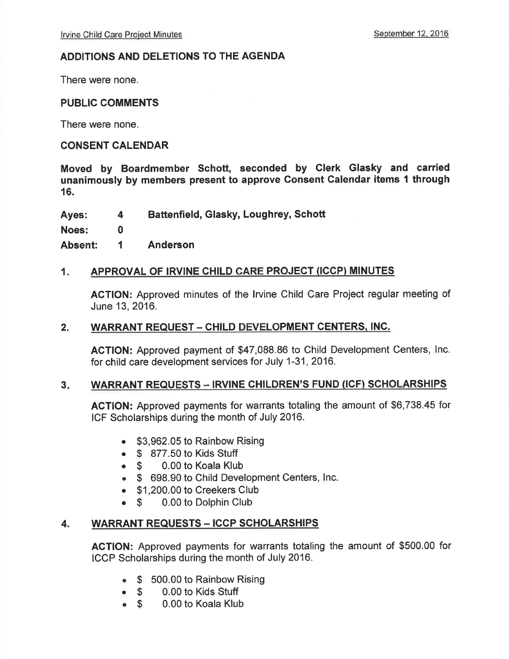# ADDITIONS AND DELETIONS TO THE AGENDA

There were none.

# PUBLIC COMMENTS

There were none.

# CONSENT CALENDAR

Moved by Boardmember Schott, seconded by Clerk Glasky and carried unanimously by members present to approve Gonsent Calendar items I through 16.

Ayes: 4 Battenfield, Glasky, Loughrey, Schott 4

Noes:

Absent: Anderson 1

0

# 1. APPROVAL OF IRVINE CHILD CARE PROJECT (ICCP) MINUTES

AGTION: Approved minutes of the lrvine Child Care Project regular meeting of June 13,2016.

# 2. WARRANT REQUEST - CHILD DEVELOPMENT CENTERS, INC.

AGTION: Approved payment of \$47,088.86 to Child Development Centers, lnc. for child care development services for July 1-31,2016.

# 3. WARRANT REQUESTS - IRVINE CHILDREN'S FUND (ICF) SCHOLARSHIPS

AGTION: Approved payments for warrants totaling the amount of \$6,738.45 for ICF Scholarships during the month of July 2016.

- . \$3,962.05 to Rainbow Rising
- $\begin{array}{cc} \bullet & \text{\$} & 877.50 \text{ to Kids Stuttgart} \\ \bullet & \text{\$} & 0.00 \text{ to Koada Klul} \end{array}$
- 0.00 to Koala Klub
- o \$ 698.90 to Child Development Centers, lnc.
- . \$1,200.00 to Creekers Club
- \$ 0.00 to Dolphin Club

# 4. WARRANT REQUESTS - ICCP SCHOLARSHIPS

AGTION: Approved payments for warrants totaling the amount of \$500.00 for ICCP Scholarships during the month of July 2016.

- \$ 500.00 to Rainbow Rising
- o \$ 0.00 to Kids Stuff
- 0.00 to Koala Klub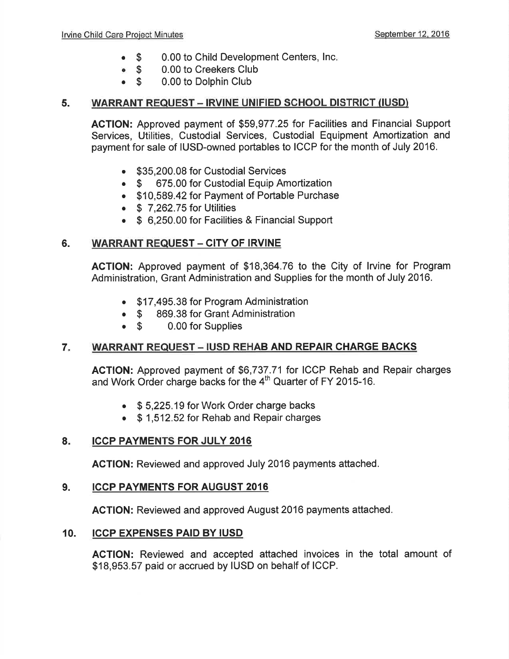- 0.00 to Child Development Centers, lnc  $\bullet$  \$
- 0.00 to Creekers Club  $\bullet$  \$
- 0.00 to Dolphin Club  $\bullet$  S

# 5. WARRANT REQUEST - IRVINE UNIFIED SCHOOL DISTRICT (IUSD)

ACTION: Approved payment of \$59,977.25 for Facilities and Financial Support Services, Utilities, Custodial Services, Custodial Equipment Amortization and payment for sale of IUSD-owned portables to ICCP for the month of July 2016.

- \$35,200.08 for Custodial Services
- \$ 675.00 for Custodial Equip Amortization
- . \$10,589.42 for Payment of Portable Purchase
- $\bullet$  \$ 7,262.75 for Utilities
- \$ 6,250.00 for Facilities & Financial Support

# 6. WARRANT REQUEST - CITY OF IRVINE

ACTION: Approved payment of \$18,364.76 to the City of lrvine for Program Administration, Grant Administration and Supplies for the month of July 2016.

- . \$17,495.38 for Program Administration
- \$ 869.38 for Grant Administration<br>• \$ 0.00 for Supplies
- 0.00 for Supplies

# 7. WARRANT REQUEST - IUSD REHAB AND REPAIR CHARGE BACKS

AGTION: Approved payment of \$6,737.71 for ICCP Rehab and Repair charges and Work Order charge backs for the 4<sup>th</sup> Quarter of FY 2015-16.

- \$5,225.19 for Work Order charge backs
- \$1,512.52 for Rehab and Repair charges

### $8<sub>ii</sub>$ **ICCP PAYMENTS FOR JULY 2016**

AGTION: Reviewed and approved July 2016 payments attached.

### 9. ICCP PAYMENTS FOR AUGUST 2OI6

ACTION: Reviewed and approved August 2016 payments attached.

### ICCP EXPENSES PAID BY IUSD 10.

ACTION: Reviewed and accepted attached invoices in the total amount of \$18,953.57 paid or accrued by IUSD on behalf of ICCP.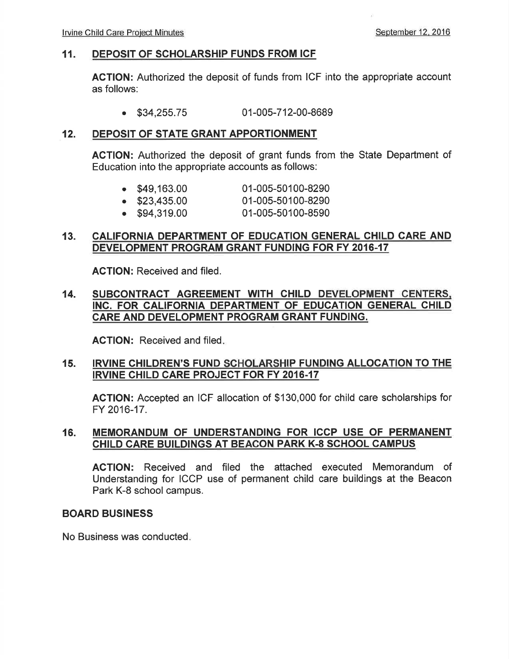## 11. DEPOSIT OF SCHOLARSHIP FUNDS FROM ICF

AGTION: Authorized the deposit of funds from ICF into the appropriate account as follows:

. \$34,255.75 01-005-712-00-8689

#### DEPOSIT OF STATE GRANT APPORTIONMENT 12.

ACTION: Authorized the deposit of grant funds from the State Department of Education into the appropriate accounts as follows:

| $\bullet$ \$49,163.00 | 01-005-50100-8290 |
|-----------------------|-------------------|
|                       |                   |

- $\bullet$  \$23,435.00 01-005-50100-8290
- . \$94,319.00 01-005-50100-8590

# 13. CALIFORNIA DEPARTMENT OF EDUCATION GENERAL CHILD CARE AND DEVELOPMENT PROGRAM GRANT FUNDING FOR FY 2016-17

AGTION: Received and filed.

### 14. SUBCONTRACT AGREEMENT WITH CHILD DEVELOPMENT CENTERS. INC. FOR CALIFORNIA DEPARTMENT OF EDUCATION GENERAL CHILD CARE AND DEVELOPMENT PROGRAM GRANT FUNDING.

ACTION: Received and filed

# 15. IRVINE CHILDREN'S FUND SCHOLARSHIP FUNDING ALLOCATION TO THE IRVINE CHILD CARE PROJECT FOR FY 2016-17

AGTION: Accepted an ICF allocation of \$130,000 for child care scholarships for FY 2016-17.

## 16. MEMORANDUM OF UNDERSTANDING FOR ICCP USE OF PERMANENT CHILD CARE BUILDINGS AT BEACON PARK K-8 SCHOOL CAMPUS

ACTION: Received and filed the attached executed Memorandum of Understanding for ICCP use of permanent child care buildings at the Beacon Park K-8 school campus.

## BOARD BUSINESS

No Business was conducted